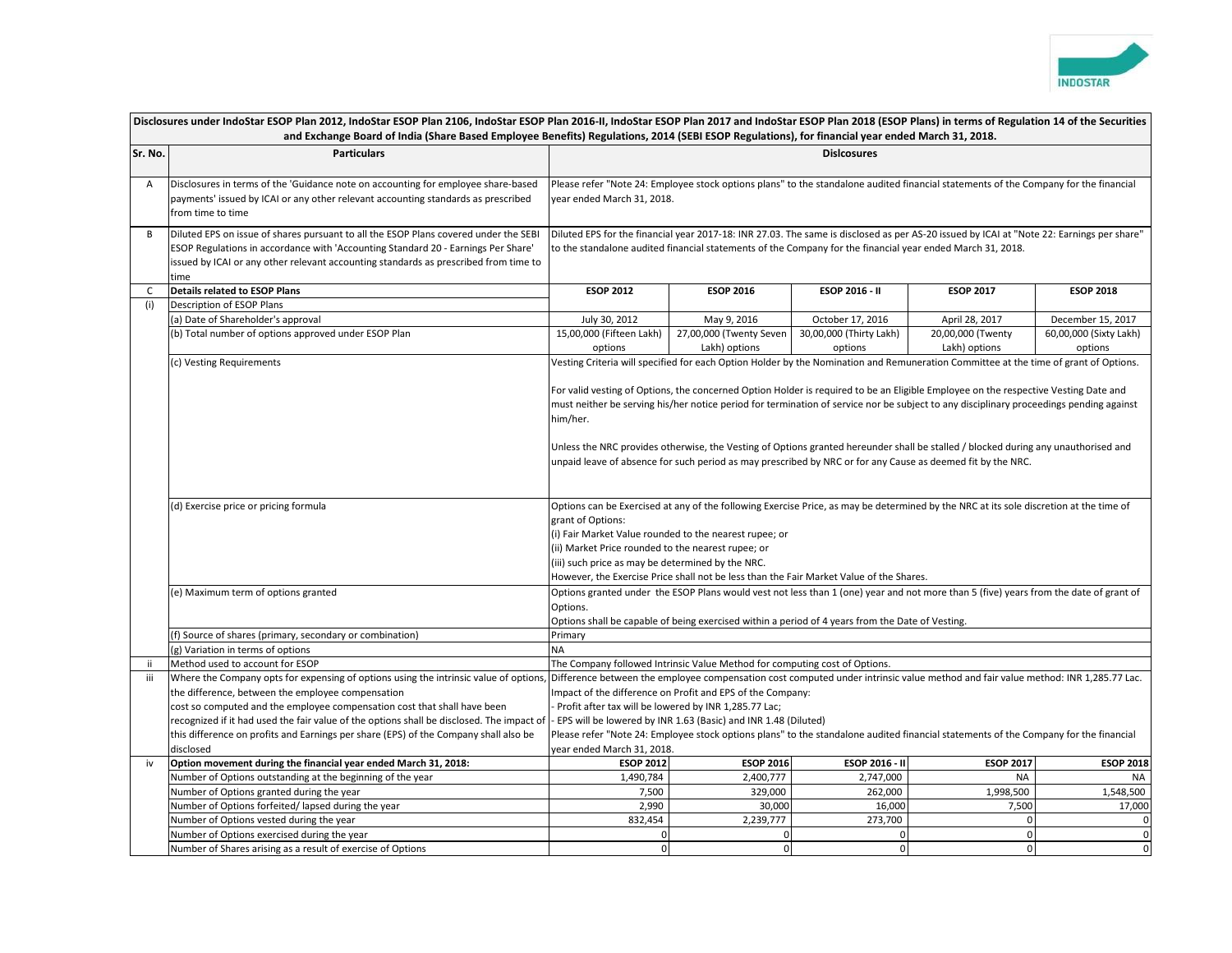

| Disclosures under IndoStar ESOP Plan 2012, IndoStar ESOP Plan 2106, IndoStar ESOP Plan 2016-II, IndoStar ESOP Plan 2017 and IndoStar ESOP Plan 2018 (ESOP Plans) in terms of Regulation 14 of the Securities |                                                                                                                                                                                                                                                                           |                                                                                                                                                                                                                                                                                                                                                                                                                                                                                                                                                 |                                                                                                                                      |                                    |                                    |                                   |
|--------------------------------------------------------------------------------------------------------------------------------------------------------------------------------------------------------------|---------------------------------------------------------------------------------------------------------------------------------------------------------------------------------------------------------------------------------------------------------------------------|-------------------------------------------------------------------------------------------------------------------------------------------------------------------------------------------------------------------------------------------------------------------------------------------------------------------------------------------------------------------------------------------------------------------------------------------------------------------------------------------------------------------------------------------------|--------------------------------------------------------------------------------------------------------------------------------------|------------------------------------|------------------------------------|-----------------------------------|
|                                                                                                                                                                                                              |                                                                                                                                                                                                                                                                           | and Exchange Board of India (Share Based Employee Benefits) Regulations, 2014 (SEBI ESOP Regulations), for financial year ended March 31, 2018.                                                                                                                                                                                                                                                                                                                                                                                                 |                                                                                                                                      |                                    |                                    |                                   |
| Sr. No.                                                                                                                                                                                                      | <b>Particulars</b>                                                                                                                                                                                                                                                        | <b>Dislcosures</b>                                                                                                                                                                                                                                                                                                                                                                                                                                                                                                                              |                                                                                                                                      |                                    |                                    |                                   |
|                                                                                                                                                                                                              | Disclosures in terms of the 'Guidance note on accounting for employee share-based<br>payments' issued by ICAI or any other relevant accounting standards as prescribed<br>from time to time                                                                               | Please refer "Note 24: Employee stock options plans" to the standalone audited financial statements of the Company for the financial<br>year ended March 31, 2018.                                                                                                                                                                                                                                                                                                                                                                              |                                                                                                                                      |                                    |                                    |                                   |
| B                                                                                                                                                                                                            | Diluted EPS on issue of shares pursuant to all the ESOP Plans covered under the SEBI<br>ESOP Regulations in accordance with 'Accounting Standard 20 - Earnings Per Share'<br>issued by ICAI or any other relevant accounting standards as prescribed from time to<br>time | Diluted EPS for the financial year 2017-18: INR 27.03. The same is disclosed as per AS-20 issued by ICAI at "Note 22: Earnings per share"<br>to the standalone audited financial statements of the Company for the financial year ended March 31, 2018.                                                                                                                                                                                                                                                                                         |                                                                                                                                      |                                    |                                    |                                   |
| $\mathsf{C}$                                                                                                                                                                                                 | <b>Details related to ESOP Plans</b>                                                                                                                                                                                                                                      | <b>ESOP 2012</b>                                                                                                                                                                                                                                                                                                                                                                                                                                                                                                                                | <b>ESOP 2016</b>                                                                                                                     | ESOP 2016 - II                     | <b>ESOP 2017</b>                   | <b>ESOP 2018</b>                  |
| (i)                                                                                                                                                                                                          | Description of ESOP Plans                                                                                                                                                                                                                                                 |                                                                                                                                                                                                                                                                                                                                                                                                                                                                                                                                                 |                                                                                                                                      |                                    |                                    |                                   |
|                                                                                                                                                                                                              | (a) Date of Shareholder's approval                                                                                                                                                                                                                                        | July 30, 2012                                                                                                                                                                                                                                                                                                                                                                                                                                                                                                                                   | May 9, 2016                                                                                                                          | October 17, 2016                   | April 28, 2017                     | December 15, 2017                 |
|                                                                                                                                                                                                              | (b) Total number of options approved under ESOP Plan                                                                                                                                                                                                                      | 15,00,000 (Fifteen Lakh)<br>options                                                                                                                                                                                                                                                                                                                                                                                                                                                                                                             | 27,00,000 (Twenty Seven<br>Lakh) options                                                                                             | 30,00,000 (Thirty Lakh)<br>options | 20,00,000 (Twenty<br>Lakh) options | 60,00,000 (Sixty Lakh)<br>options |
|                                                                                                                                                                                                              | (c) Vesting Requirements                                                                                                                                                                                                                                                  |                                                                                                                                                                                                                                                                                                                                                                                                                                                                                                                                                 | Vesting Criteria will specified for each Option Holder by the Nomination and Remuneration Committee at the time of grant of Options. |                                    |                                    |                                   |
|                                                                                                                                                                                                              |                                                                                                                                                                                                                                                                           | For valid vesting of Options, the concerned Option Holder is required to be an Eligible Employee on the respective Vesting Date and<br>must neither be serving his/her notice period for termination of service nor be subject to any disciplinary proceedings pending against<br>him/her.<br>Unless the NRC provides otherwise, the Vesting of Options granted hereunder shall be stalled / blocked during any unauthorised and<br>unpaid leave of absence for such period as may prescribed by NRC or for any Cause as deemed fit by the NRC. |                                                                                                                                      |                                    |                                    |                                   |
|                                                                                                                                                                                                              | (d) Exercise price or pricing formula                                                                                                                                                                                                                                     | Options can be Exercised at any of the following Exercise Price, as may be determined by the NRC at its sole discretion at the time of                                                                                                                                                                                                                                                                                                                                                                                                          |                                                                                                                                      |                                    |                                    |                                   |
|                                                                                                                                                                                                              |                                                                                                                                                                                                                                                                           | grant of Options:                                                                                                                                                                                                                                                                                                                                                                                                                                                                                                                               |                                                                                                                                      |                                    |                                    |                                   |
|                                                                                                                                                                                                              |                                                                                                                                                                                                                                                                           | (i) Fair Market Value rounded to the nearest rupee; or                                                                                                                                                                                                                                                                                                                                                                                                                                                                                          |                                                                                                                                      |                                    |                                    |                                   |
|                                                                                                                                                                                                              |                                                                                                                                                                                                                                                                           | (ii) Market Price rounded to the nearest rupee; or                                                                                                                                                                                                                                                                                                                                                                                                                                                                                              |                                                                                                                                      |                                    |                                    |                                   |
|                                                                                                                                                                                                              |                                                                                                                                                                                                                                                                           | (iii) such price as may be determined by the NRC.                                                                                                                                                                                                                                                                                                                                                                                                                                                                                               |                                                                                                                                      |                                    |                                    |                                   |
|                                                                                                                                                                                                              |                                                                                                                                                                                                                                                                           |                                                                                                                                                                                                                                                                                                                                                                                                                                                                                                                                                 | However, the Exercise Price shall not be less than the Fair Market Value of the Shares.                                              |                                    |                                    |                                   |
|                                                                                                                                                                                                              | (e) Maximum term of options granted                                                                                                                                                                                                                                       | Options granted under the ESOP Plans would vest not less than 1 (one) year and not more than 5 (five) years from the date of grant of<br>Options.<br>Options shall be capable of being exercised within a period of 4 years from the Date of Vesting.                                                                                                                                                                                                                                                                                           |                                                                                                                                      |                                    |                                    |                                   |
|                                                                                                                                                                                                              | (f) Source of shares (primary, secondary or combination)                                                                                                                                                                                                                  | Primary                                                                                                                                                                                                                                                                                                                                                                                                                                                                                                                                         |                                                                                                                                      |                                    |                                    |                                   |
|                                                                                                                                                                                                              | (g) Variation in terms of options                                                                                                                                                                                                                                         | <b>NA</b>                                                                                                                                                                                                                                                                                                                                                                                                                                                                                                                                       |                                                                                                                                      |                                    |                                    |                                   |
| Ϊİ                                                                                                                                                                                                           | Method used to account for ESOP                                                                                                                                                                                                                                           | The Company followed Intrinsic Value Method for computing cost of Options.                                                                                                                                                                                                                                                                                                                                                                                                                                                                      |                                                                                                                                      |                                    |                                    |                                   |
| iii                                                                                                                                                                                                          | Where the Company opts for expensing of options using the intrinsic value of options                                                                                                                                                                                      |                                                                                                                                                                                                                                                                                                                                                                                                                                                                                                                                                 | Difference between the employee compensation cost computed under intrinsic value method and fair value method: INR 1,285.77 Lac.     |                                    |                                    |                                   |
|                                                                                                                                                                                                              | the difference, between the employee compensation                                                                                                                                                                                                                         |                                                                                                                                                                                                                                                                                                                                                                                                                                                                                                                                                 | Impact of the difference on Profit and EPS of the Company:                                                                           |                                    |                                    |                                   |
|                                                                                                                                                                                                              | cost so computed and the employee compensation cost that shall have been                                                                                                                                                                                                  | Profit after tax will be lowered by INR 1,285.77 Lac;                                                                                                                                                                                                                                                                                                                                                                                                                                                                                           |                                                                                                                                      |                                    |                                    |                                   |
|                                                                                                                                                                                                              | recognized if it had used the fair value of the options shall be disclosed. The impact of                                                                                                                                                                                 | - EPS will be lowered by INR 1.63 (Basic) and INR 1.48 (Diluted)                                                                                                                                                                                                                                                                                                                                                                                                                                                                                |                                                                                                                                      |                                    |                                    |                                   |
|                                                                                                                                                                                                              | this difference on profits and Earnings per share (EPS) of the Company shall also be                                                                                                                                                                                      | Please refer "Note 24: Employee stock options plans" to the standalone audited financial statements of the Company for the financial                                                                                                                                                                                                                                                                                                                                                                                                            |                                                                                                                                      |                                    |                                    |                                   |
|                                                                                                                                                                                                              | disclosed                                                                                                                                                                                                                                                                 | year ended March 31, 2018.                                                                                                                                                                                                                                                                                                                                                                                                                                                                                                                      |                                                                                                                                      |                                    |                                    |                                   |
| iv                                                                                                                                                                                                           | Option movement during the financial year ended March 31, 2018:                                                                                                                                                                                                           | <b>ESOP 2012</b>                                                                                                                                                                                                                                                                                                                                                                                                                                                                                                                                | <b>ESOP 2016</b>                                                                                                                     | ESOP 2016 - II                     | <b>ESOP 2017</b>                   | <b>ESOP 2018</b>                  |
|                                                                                                                                                                                                              | Number of Options outstanding at the beginning of the year                                                                                                                                                                                                                | 1,490,784                                                                                                                                                                                                                                                                                                                                                                                                                                                                                                                                       | 2,400,777                                                                                                                            | 2,747,000                          | <b>NA</b>                          | NA                                |
|                                                                                                                                                                                                              | Number of Options granted during the year                                                                                                                                                                                                                                 | 7,500                                                                                                                                                                                                                                                                                                                                                                                                                                                                                                                                           | 329,000                                                                                                                              | 262,000                            | 1,998,500                          | 1,548,500                         |
|                                                                                                                                                                                                              | Number of Options forfeited/lapsed during the year                                                                                                                                                                                                                        | 2,990                                                                                                                                                                                                                                                                                                                                                                                                                                                                                                                                           | 30,000                                                                                                                               | 16,000                             | 7,500                              | 17,000                            |
|                                                                                                                                                                                                              | Number of Options vested during the year                                                                                                                                                                                                                                  | 832,454                                                                                                                                                                                                                                                                                                                                                                                                                                                                                                                                         | 2,239,777                                                                                                                            | 273,700                            | $\Omega$                           | $\mathbf{0}$                      |
|                                                                                                                                                                                                              | Number of Options exercised during the year                                                                                                                                                                                                                               | $\pmb{0}$                                                                                                                                                                                                                                                                                                                                                                                                                                                                                                                                       | 0                                                                                                                                    | $\Omega$                           | $\mathbf 0$                        | $\mathbf 0$                       |
|                                                                                                                                                                                                              | Number of Shares arising as a result of exercise of Options                                                                                                                                                                                                               | $\mathbf 0$                                                                                                                                                                                                                                                                                                                                                                                                                                                                                                                                     | $\pmb{0}$                                                                                                                            | $\mathbf 0$                        | $\overline{0}$                     | $\mathbf{0}$                      |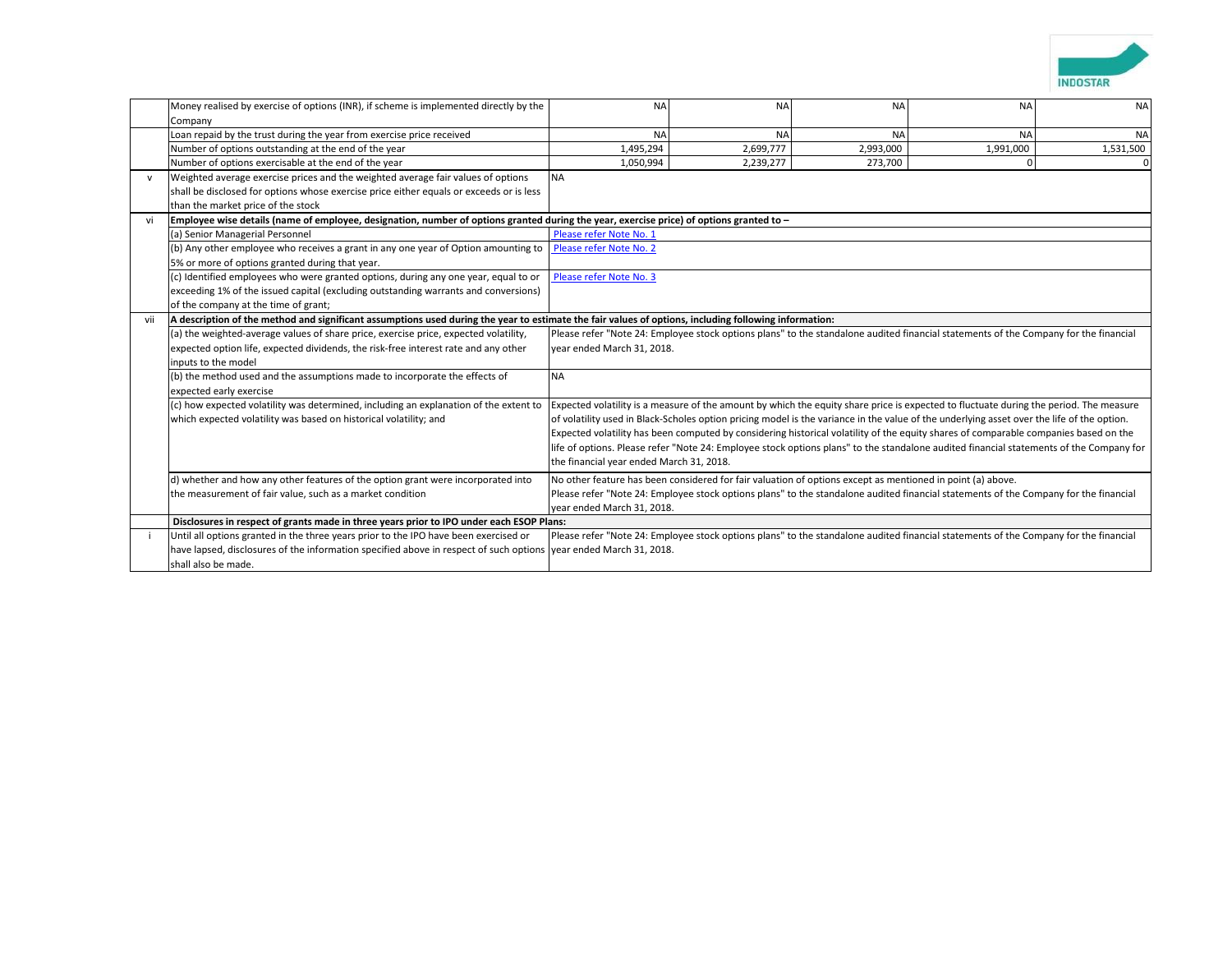

|                                                                                                                                                                                                | Money realised by exercise of options (INR), if scheme is implemented directly by the                                                    | <b>NA</b>                                                                                                                                                                                                                                                                                                                                                                                                                                 | <b>NA</b>                                                                                                                            | <b>NA</b> | <b>NA</b>                                                                                                                            | <b>NA</b> |
|------------------------------------------------------------------------------------------------------------------------------------------------------------------------------------------------|------------------------------------------------------------------------------------------------------------------------------------------|-------------------------------------------------------------------------------------------------------------------------------------------------------------------------------------------------------------------------------------------------------------------------------------------------------------------------------------------------------------------------------------------------------------------------------------------|--------------------------------------------------------------------------------------------------------------------------------------|-----------|--------------------------------------------------------------------------------------------------------------------------------------|-----------|
|                                                                                                                                                                                                | Company                                                                                                                                  | <b>NA</b>                                                                                                                                                                                                                                                                                                                                                                                                                                 | <b>NA</b>                                                                                                                            | <b>NA</b> | <b>NA</b>                                                                                                                            | <b>NA</b> |
|                                                                                                                                                                                                | Loan repaid by the trust during the year from exercise price received<br>Number of options outstanding at the end of the year            | 1,495,294                                                                                                                                                                                                                                                                                                                                                                                                                                 | 2,699,777                                                                                                                            | 2,993,000 | 1,991,000                                                                                                                            | 1,531,500 |
|                                                                                                                                                                                                | Number of options exercisable at the end of the year                                                                                     | 1,050,994                                                                                                                                                                                                                                                                                                                                                                                                                                 | 2,239,277                                                                                                                            | 273,700   |                                                                                                                                      | $\Omega$  |
|                                                                                                                                                                                                | Weighted average exercise prices and the weighted average fair values of options                                                         | <b>NA</b>                                                                                                                                                                                                                                                                                                                                                                                                                                 |                                                                                                                                      |           |                                                                                                                                      |           |
|                                                                                                                                                                                                | shall be disclosed for options whose exercise price either equals or exceeds or is less                                                  |                                                                                                                                                                                                                                                                                                                                                                                                                                           |                                                                                                                                      |           |                                                                                                                                      |           |
|                                                                                                                                                                                                | than the market price of the stock                                                                                                       |                                                                                                                                                                                                                                                                                                                                                                                                                                           |                                                                                                                                      |           |                                                                                                                                      |           |
| vi                                                                                                                                                                                             | Employee wise details (name of employee, designation, number of options granted during the year, exercise price) of options granted to - |                                                                                                                                                                                                                                                                                                                                                                                                                                           |                                                                                                                                      |           |                                                                                                                                      |           |
|                                                                                                                                                                                                | (a) Senior Managerial Personnel                                                                                                          | Please refer Note No. 1                                                                                                                                                                                                                                                                                                                                                                                                                   |                                                                                                                                      |           |                                                                                                                                      |           |
|                                                                                                                                                                                                | (b) Any other employee who receives a grant in any one year of Option amounting to                                                       | Please refer Note No. 2                                                                                                                                                                                                                                                                                                                                                                                                                   |                                                                                                                                      |           |                                                                                                                                      |           |
|                                                                                                                                                                                                | 5% or more of options granted during that year.                                                                                          |                                                                                                                                                                                                                                                                                                                                                                                                                                           |                                                                                                                                      |           |                                                                                                                                      |           |
|                                                                                                                                                                                                | (c) Identified employees who were granted options, during any one year, equal to or                                                      | Please refer Note No. 3                                                                                                                                                                                                                                                                                                                                                                                                                   |                                                                                                                                      |           |                                                                                                                                      |           |
|                                                                                                                                                                                                | exceeding 1% of the issued capital (excluding outstanding warrants and conversions)                                                      |                                                                                                                                                                                                                                                                                                                                                                                                                                           |                                                                                                                                      |           |                                                                                                                                      |           |
|                                                                                                                                                                                                | of the company at the time of grant;                                                                                                     |                                                                                                                                                                                                                                                                                                                                                                                                                                           |                                                                                                                                      |           |                                                                                                                                      |           |
| vii                                                                                                                                                                                            |                                                                                                                                          | A description of the method and significant assumptions used during the year to estimate the fair values of options, including following information:                                                                                                                                                                                                                                                                                     |                                                                                                                                      |           |                                                                                                                                      |           |
|                                                                                                                                                                                                | (a) the weighted-average values of share price, exercise price, expected volatility,                                                     |                                                                                                                                                                                                                                                                                                                                                                                                                                           |                                                                                                                                      |           |                                                                                                                                      |           |
|                                                                                                                                                                                                | expected option life, expected dividends, the risk-free interest rate and any other                                                      | Please refer "Note 24: Employee stock options plans" to the standalone audited financial statements of the Company for the financial<br>year ended March 31, 2018.                                                                                                                                                                                                                                                                        |                                                                                                                                      |           |                                                                                                                                      |           |
|                                                                                                                                                                                                | inputs to the model                                                                                                                      |                                                                                                                                                                                                                                                                                                                                                                                                                                           |                                                                                                                                      |           |                                                                                                                                      |           |
|                                                                                                                                                                                                | (b) the method used and the assumptions made to incorporate the effects of                                                               | <b>NA</b><br>Expected volatility is a measure of the amount by which the equity share price is expected to fluctuate during the period. The measure<br>of volatility used in Black-Scholes option pricing model is the variance in the value of the underlying asset over the life of the option.<br>Expected volatility has been computed by considering historical volatility of the equity shares of comparable companies based on the |                                                                                                                                      |           |                                                                                                                                      |           |
|                                                                                                                                                                                                | expected early exercise                                                                                                                  |                                                                                                                                                                                                                                                                                                                                                                                                                                           |                                                                                                                                      |           |                                                                                                                                      |           |
|                                                                                                                                                                                                | (c) how expected volatility was determined, including an explanation of the extent to                                                    |                                                                                                                                                                                                                                                                                                                                                                                                                                           |                                                                                                                                      |           |                                                                                                                                      |           |
|                                                                                                                                                                                                | which expected volatility was based on historical volatility; and                                                                        |                                                                                                                                                                                                                                                                                                                                                                                                                                           |                                                                                                                                      |           |                                                                                                                                      |           |
|                                                                                                                                                                                                |                                                                                                                                          |                                                                                                                                                                                                                                                                                                                                                                                                                                           |                                                                                                                                      |           |                                                                                                                                      |           |
|                                                                                                                                                                                                |                                                                                                                                          | life of options. Please refer "Note 24: Employee stock options plans" to the standalone audited financial statements of the Company for<br>the financial year ended March 31, 2018.                                                                                                                                                                                                                                                       |                                                                                                                                      |           |                                                                                                                                      |           |
|                                                                                                                                                                                                |                                                                                                                                          |                                                                                                                                                                                                                                                                                                                                                                                                                                           |                                                                                                                                      |           |                                                                                                                                      |           |
| No other feature has been considered for fair valuation of options except as mentioned in point (a) above.<br>d) whether and how any other features of the option grant were incorporated into |                                                                                                                                          |                                                                                                                                                                                                                                                                                                                                                                                                                                           |                                                                                                                                      |           |                                                                                                                                      |           |
| the measurement of fair value, such as a market condition                                                                                                                                      |                                                                                                                                          |                                                                                                                                                                                                                                                                                                                                                                                                                                           | Please refer "Note 24: Employee stock options plans" to the standalone audited financial statements of the Company for the financial |           |                                                                                                                                      |           |
|                                                                                                                                                                                                |                                                                                                                                          | year ended March 31, 2018.                                                                                                                                                                                                                                                                                                                                                                                                                |                                                                                                                                      |           |                                                                                                                                      |           |
|                                                                                                                                                                                                | Disclosures in respect of grants made in three years prior to IPO under each ESOP Plans:                                                 |                                                                                                                                                                                                                                                                                                                                                                                                                                           |                                                                                                                                      |           |                                                                                                                                      |           |
|                                                                                                                                                                                                | Until all options granted in the three years prior to the IPO have been exercised or                                                     |                                                                                                                                                                                                                                                                                                                                                                                                                                           |                                                                                                                                      |           | Please refer "Note 24: Employee stock options plans" to the standalone audited financial statements of the Company for the financial |           |
|                                                                                                                                                                                                | have lapsed, disclosures of the information specified above in respect of such options vear ended March 31, 2018.                        |                                                                                                                                                                                                                                                                                                                                                                                                                                           |                                                                                                                                      |           |                                                                                                                                      |           |
|                                                                                                                                                                                                | shall also be made.                                                                                                                      |                                                                                                                                                                                                                                                                                                                                                                                                                                           |                                                                                                                                      |           |                                                                                                                                      |           |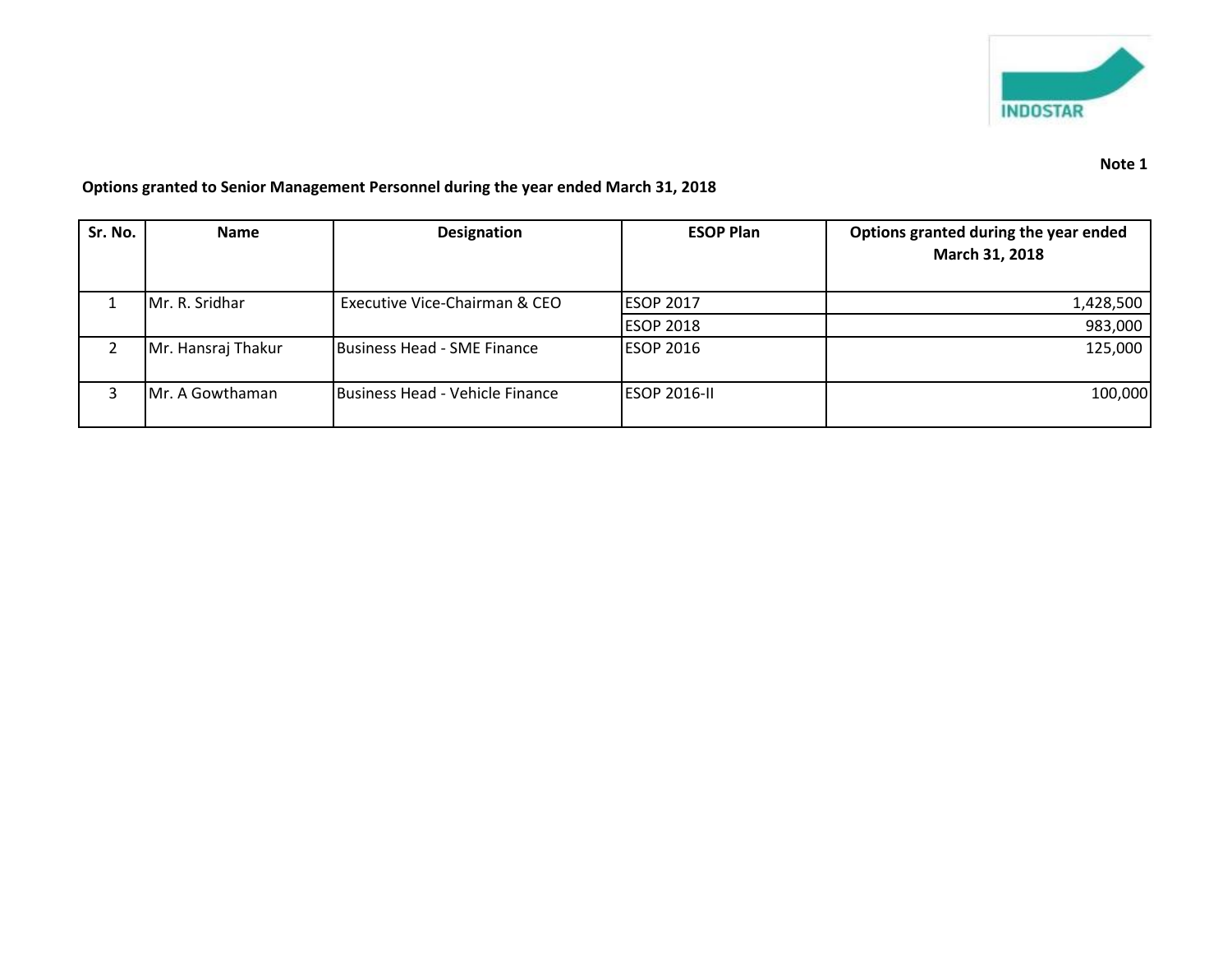

## **Options granted to Senior Management Personnel during the year ended March 31, 2018**

| Sr. No. | <b>Name</b>        | <b>Designation</b>              | <b>ESOP Plan</b>    | Options granted during the year ended<br>March 31, 2018 |
|---------|--------------------|---------------------------------|---------------------|---------------------------------------------------------|
|         | Mr. R. Sridhar     | Executive Vice-Chairman & CEO   | <b>ESOP 2017</b>    | 1,428,500                                               |
|         |                    |                                 | <b>ESOP 2018</b>    | 983,000                                                 |
|         | Mr. Hansraj Thakur | Business Head - SME Finance     | <b>ESOP 2016</b>    | 125,000                                                 |
|         | Mr. A Gowthaman    | Business Head - Vehicle Finance | <b>ESOP 2016-II</b> | 100,000                                                 |

## **Note 1**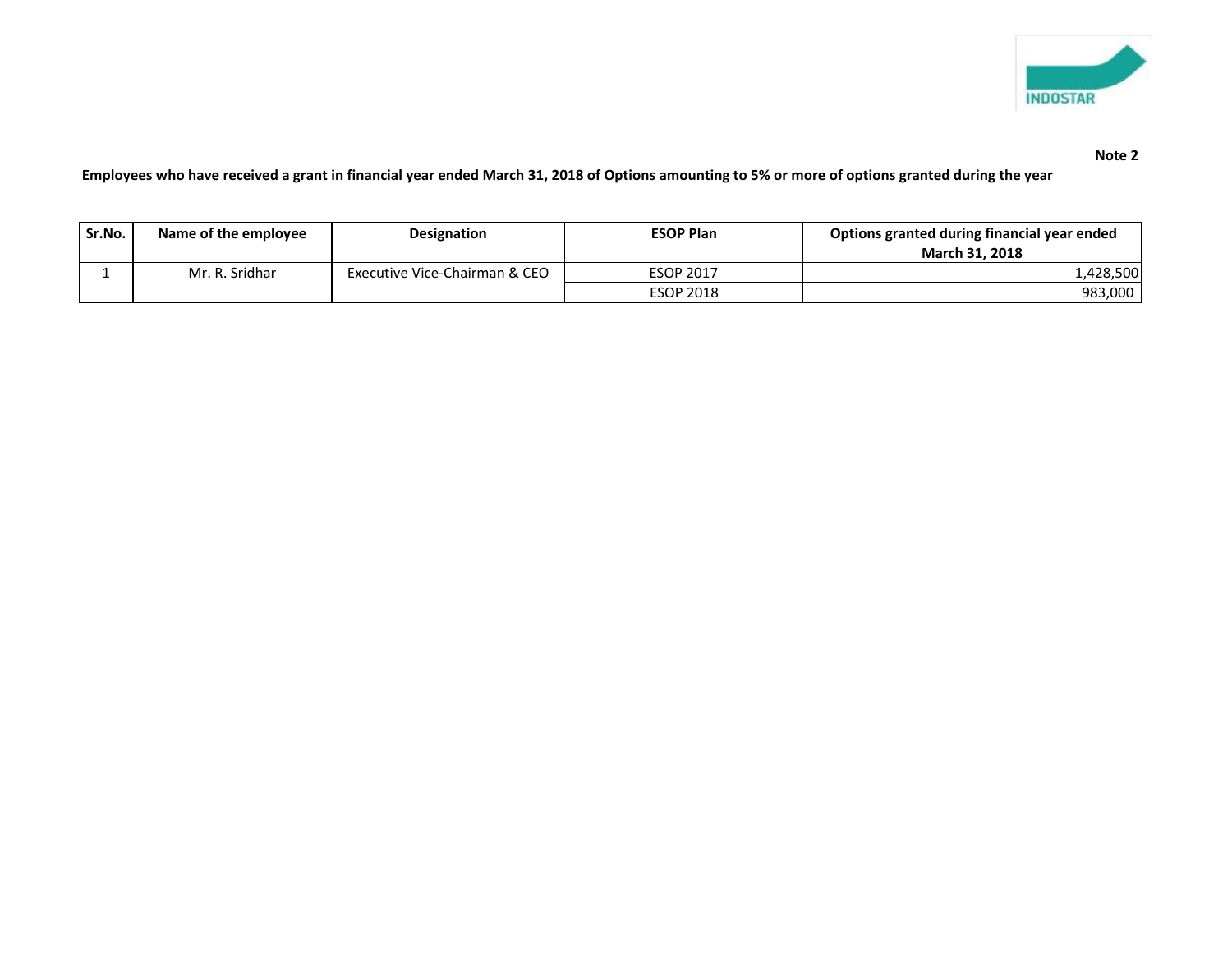

## **Note 2**

**Employees who have received a grant in financial year ended March 31, 2018 of Options amounting to 5% or more of options granted during the year**

| Sr.No. | Name of the employee | <b>Designation</b>            | <b>ESOP Plan</b> | Options granted during financial year ended |  |
|--------|----------------------|-------------------------------|------------------|---------------------------------------------|--|
|        |                      |                               |                  | <b>March 31, 2018</b>                       |  |
|        | Mr. R. Sridhar       | Executive Vice-Chairman & CEO | <b>ESOP 2017</b> | 1,428,500                                   |  |
|        |                      |                               | <b>ESOP 2018</b> | 983,000                                     |  |